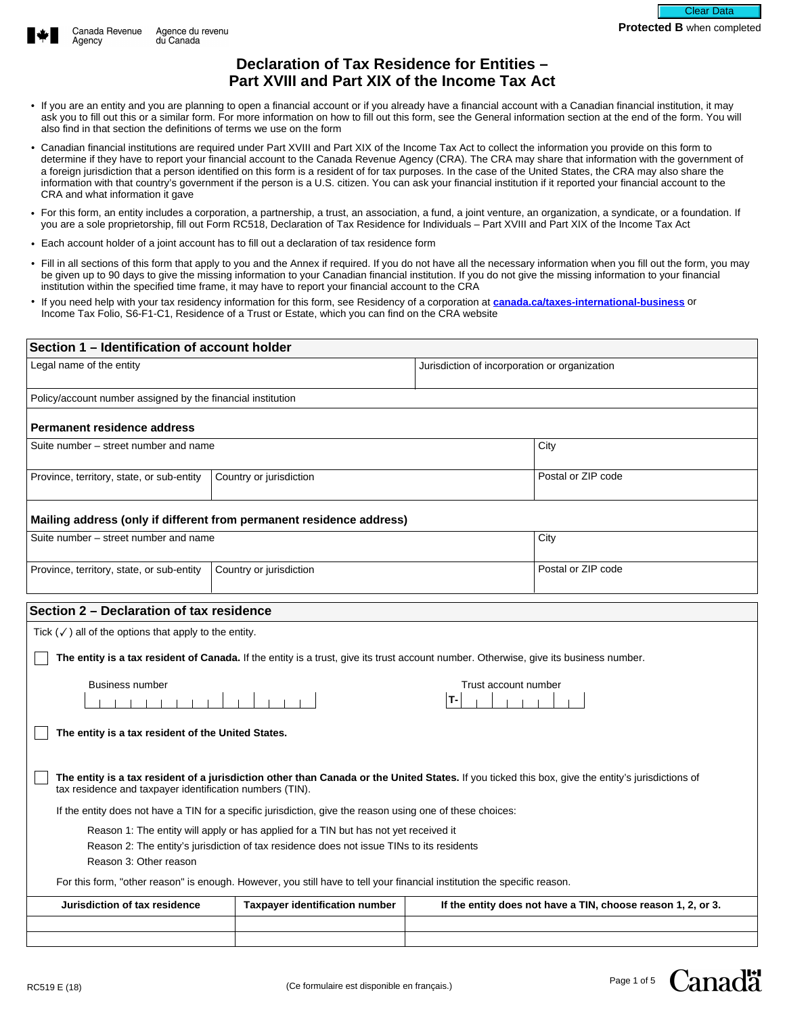

# **Declaration of Tax Residence for Entities – Part XVIII and Part XIX of the Income Tax Act**

- If you are an entity and you are planning to open a financial account or if you already have a financial account with a Canadian financial institution, it may ask you to fill out this or a similar form. For more information on how to fill out this form, see the General information section at the end of the form. You will also find in that section the definitions of terms we use on the form
- Canadian financial institutions are required under Part XVIII and Part XIX of the Income Tax Act to collect the information you provide on this form to determine if they have to report your financial account to the Canada Revenue Agency (CRA). The CRA may share that information with the government of a foreign jurisdiction that a person identified on this form is a resident of for tax purposes. In the case of the United States, the CRA may also share the information with that country's government if the person is a U.S. citizen. You can ask your financial institution if it reported your financial account to the CRA and what information it gave
- For this form, an entity includes a corporation, a partnership, a trust, an association, a fund, a joint venture, an organization, a syndicate, or a foundation. If you are a sole proprietorship, fill out Form RC518, Declaration of Tax Residence for Individuals – Part XVIII and Part XIX of the Income Tax Act
- Each account holder of a joint account has to fill out a declaration of tax residence form
- Fill in all sections of this form that apply to you and the Annex if required. If you do not have all the necessary information when you fill out the form, you may be given up to 90 days to give the missing information to your Canadian financial institution. If you do not give the missing information to your financial institution within the specified time frame, it may have to report your financial account to the CRA
- If you need help with your tax residency information for this form, see Residency of a corporation at **[canada.ca/taxes-international-business](https://www.canada.ca/en/revenue-agency/services/tax/international-non-residents/businesses-international-non-resident-taxes.html?utm_campaign=not-applicable&utm_medium=vanity-url&utm_source=canada-ca_taxes-international-business)** or Income Tax Folio, S6-F1-C1, Residence of a Trust or Estate, which you can find on the CRA website

| Section 1 - Identification of account holder                                                                                                                                                                  |                                                                                                                                                                                   |                                                                                                                                                                                                                                                                                                                                                                                                                                                                 |                                                              |                                                  |  |
|---------------------------------------------------------------------------------------------------------------------------------------------------------------------------------------------------------------|-----------------------------------------------------------------------------------------------------------------------------------------------------------------------------------|-----------------------------------------------------------------------------------------------------------------------------------------------------------------------------------------------------------------------------------------------------------------------------------------------------------------------------------------------------------------------------------------------------------------------------------------------------------------|--------------------------------------------------------------|--------------------------------------------------|--|
| Legal name of the entity                                                                                                                                                                                      |                                                                                                                                                                                   | Jurisdiction of incorporation or organization                                                                                                                                                                                                                                                                                                                                                                                                                   |                                                              | $\blacksquare$                                   |  |
| Policy/account number assigned by the financial institution                                                                                                                                                   |                                                                                                                                                                                   |                                                                                                                                                                                                                                                                                                                                                                                                                                                                 |                                                              |                                                  |  |
| <b>Permanent residence address</b>                                                                                                                                                                            |                                                                                                                                                                                   |                                                                                                                                                                                                                                                                                                                                                                                                                                                                 |                                                              |                                                  |  |
| Suite number - street number and name                                                                                                                                                                         |                                                                                                                                                                                   |                                                                                                                                                                                                                                                                                                                                                                                                                                                                 | City                                                         |                                                  |  |
| Province, territory, state, or sub-entity<br>$\blacktriangleleft$                                                                                                                                             | Country or jurisdiction                                                                                                                                                           | $\blacktriangledown$                                                                                                                                                                                                                                                                                                                                                                                                                                            | Postal or ZIP code                                           |                                                  |  |
| Mailing address (only if different from permanent residence address)                                                                                                                                          |                                                                                                                                                                                   |                                                                                                                                                                                                                                                                                                                                                                                                                                                                 |                                                              |                                                  |  |
| Suite number – street number and name                                                                                                                                                                         |                                                                                                                                                                                   |                                                                                                                                                                                                                                                                                                                                                                                                                                                                 | City                                                         |                                                  |  |
| Province, territory, state, or sub-entity<br>$\blacktriangledown$                                                                                                                                             | Country or jurisdiction                                                                                                                                                           | $\begin{array}{c c c c} \hline \multicolumn{1}{c }{\textbf{F}} & \multicolumn{1}{c }{\textbf{F}} \\ \hline \multicolumn{1}{c }{\textbf{F}} & \multicolumn{1}{c }{\textbf{F}} & \multicolumn{1}{c }{\textbf{F}} \\ \hline \multicolumn{1}{c }{\textbf{F}} & \multicolumn{1}{c }{\textbf{F}} & \multicolumn{1}{c }{\textbf{F}} & \multicolumn{1}{c }{\textbf{F}} \\ \hline \multicolumn{1}{c }{\textbf{F}} & \multicolumn{1}{c }{\textbf{F}} & \multicolumn{1}{c$ | Postal or ZIP code                                           |                                                  |  |
| Section 2 - Declaration of tax residence                                                                                                                                                                      |                                                                                                                                                                                   |                                                                                                                                                                                                                                                                                                                                                                                                                                                                 |                                                              |                                                  |  |
| Tick $(\checkmark)$ all of the options that apply to the entity.<br>The entity is a tax resident of Canada. If the entity is a trust, give its trust account number. Otherwise, give its business number.     |                                                                                                                                                                                   |                                                                                                                                                                                                                                                                                                                                                                                                                                                                 |                                                              |                                                  |  |
| <b>Business number</b>                                                                                                                                                                                        | $\blacksquare$                                                                                                                                                                    | Trust account number<br> T-                                                                                                                                                                                                                                                                                                                                                                                                                                     |                                                              |                                                  |  |
| The entity is a tax resident of the United States.                                                                                                                                                            |                                                                                                                                                                                   |                                                                                                                                                                                                                                                                                                                                                                                                                                                                 |                                                              |                                                  |  |
| The entity is a tax resident of a jurisdiction other than Canada or the United States. If you ticked this box, give the entity's jurisdictions of<br>tax residence and taxpayer identification numbers (TIN). |                                                                                                                                                                                   |                                                                                                                                                                                                                                                                                                                                                                                                                                                                 |                                                              |                                                  |  |
| If the entity does not have a TIN for a specific jurisdiction, give the reason using one of these choices:                                                                                                    |                                                                                                                                                                                   |                                                                                                                                                                                                                                                                                                                                                                                                                                                                 |                                                              |                                                  |  |
| Reason 3: Other reason                                                                                                                                                                                        | Reason 1: The entity will apply or has applied for a TIN but has not yet received it<br>Reason 2: The entity's jurisdiction of tax residence does not issue TINs to its residents |                                                                                                                                                                                                                                                                                                                                                                                                                                                                 |                                                              |                                                  |  |
| For this form, "other reason" is enough. However, you still have to tell your financial institution the specific reason.                                                                                      |                                                                                                                                                                                   |                                                                                                                                                                                                                                                                                                                                                                                                                                                                 |                                                              |                                                  |  |
| Jurisdiction of tax residence                                                                                                                                                                                 | Taxpayer identification number                                                                                                                                                    |                                                                                                                                                                                                                                                                                                                                                                                                                                                                 | If the entity does not have a TIN, choose reason 1, 2, or 3. |                                                  |  |
| $\blacktriangledown$<br>$\blacktriangledown$                                                                                                                                                                  |                                                                                                                                                                                   |                                                                                                                                                                                                                                                                                                                                                                                                                                                                 |                                                              | $\blacktriangledown$<br>$\overline{\phantom{0}}$ |  |
|                                                                                                                                                                                                               |                                                                                                                                                                                   |                                                                                                                                                                                                                                                                                                                                                                                                                                                                 |                                                              |                                                  |  |

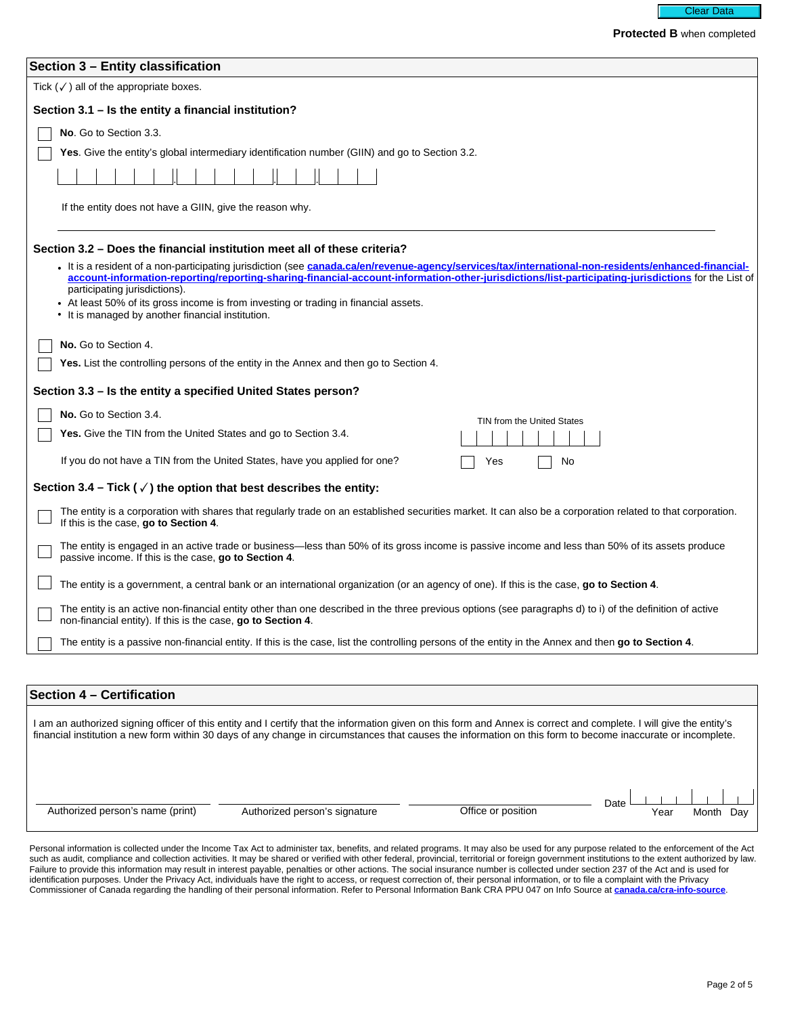

**Protected B** when completed

| Section 3 - Entity classification                                                                                                                                                                                                                                                                                                           |  |  |  |  |  |
|---------------------------------------------------------------------------------------------------------------------------------------------------------------------------------------------------------------------------------------------------------------------------------------------------------------------------------------------|--|--|--|--|--|
| Tick $(\checkmark)$ all of the appropriate boxes.                                                                                                                                                                                                                                                                                           |  |  |  |  |  |
| Section 3.1 – Is the entity a financial institution?                                                                                                                                                                                                                                                                                        |  |  |  |  |  |
| No. Go to Section 3.3.                                                                                                                                                                                                                                                                                                                      |  |  |  |  |  |
| Yes. Give the entity's global intermediary identification number (GIIN) and go to Section 3.2.                                                                                                                                                                                                                                              |  |  |  |  |  |
|                                                                                                                                                                                                                                                                                                                                             |  |  |  |  |  |
| If the entity does not have a GIIN, give the reason why.                                                                                                                                                                                                                                                                                    |  |  |  |  |  |
| Section 3.2 – Does the financial institution meet all of these criteria?                                                                                                                                                                                                                                                                    |  |  |  |  |  |
| • It is a resident of a non-participating jurisdiction (see canada.ca/en/revenue-agency/services/tax/international-non-residents/enhanced-financial-<br>account-information-reporting/reporting-sharing-financial-account-information-other-jurisdictions/list-participating-jurisdictions for the List of<br>participating jurisdictions). |  |  |  |  |  |
| • At least 50% of its gross income is from investing or trading in financial assets.<br>• It is managed by another financial institution.                                                                                                                                                                                                   |  |  |  |  |  |
| No. Go to Section 4.                                                                                                                                                                                                                                                                                                                        |  |  |  |  |  |
| Yes. List the controlling persons of the entity in the Annex and then go to Section 4.                                                                                                                                                                                                                                                      |  |  |  |  |  |
| Section 3.3 - Is the entity a specified United States person?                                                                                                                                                                                                                                                                               |  |  |  |  |  |
| No. Go to Section 3.4.<br>TIN from the United States                                                                                                                                                                                                                                                                                        |  |  |  |  |  |
| Yes. Give the TIN from the United States and go to Section 3.4.                                                                                                                                                                                                                                                                             |  |  |  |  |  |
| If you do not have a TIN from the United States, have you applied for one?<br>Yes<br>No                                                                                                                                                                                                                                                     |  |  |  |  |  |
| Section 3.4 – Tick ( $\sqrt{ }$ ) the option that best describes the entity:                                                                                                                                                                                                                                                                |  |  |  |  |  |
| The entity is a corporation with shares that regularly trade on an established securities market. It can also be a corporation related to that corporation.<br>If this is the case, go to Section 4.                                                                                                                                        |  |  |  |  |  |
| The entity is engaged in an active trade or business—less than 50% of its gross income is passive income and less than 50% of its assets produce<br>passive income. If this is the case, go to Section 4.                                                                                                                                   |  |  |  |  |  |
| The entity is a government, a central bank or an international organization (or an agency of one). If this is the case, go to Section 4.                                                                                                                                                                                                    |  |  |  |  |  |
| The entity is an active non-financial entity other than one described in the three previous options (see paragraphs d) to i) of the definition of active<br>non-financial entity). If this is the case, go to Section 4.                                                                                                                    |  |  |  |  |  |
| The entity is a passive non-financial entity. If this is the case, list the controlling persons of the entity in the Annex and then go to Section 4.                                                                                                                                                                                        |  |  |  |  |  |
|                                                                                                                                                                                                                                                                                                                                             |  |  |  |  |  |
| <b>Section 4 - Certification</b>                                                                                                                                                                                                                                                                                                            |  |  |  |  |  |
|                                                                                                                                                                                                                                                                                                                                             |  |  |  |  |  |
| I am an authorized signing officer of this entity and I certify that the information given on this form and Annex is correct and complete. I will give the entity's<br>financial institution a new form within 30 days of any change in circumstances that causes the information on this form to become inaccurate or incomplete.          |  |  |  |  |  |

|                                  |                               |                    | Date |
|----------------------------------|-------------------------------|--------------------|------|
| Authorized person's name (print) | Authorized person's signature | Office or position |      |

Personal information is collected under the Income Tax Act to administer tax, benefits, and related programs. It may also be used for any purpose related to the enforcement of the Act such as audit, compliance and collection activities. It may be shared or verified with other federal, provincial, territorial or foreign government institutions to the extent authorized by law. Failure to provide this information may result in interest payable, penalties or other actions. The social insurance number is collected under section 237 of the Act and is used for identification purposes. Under the Privacy Act, individuals have the right to access, or request correction of, their personal information, or to file a complaint with the Privacy<br>Commissioner of Canada regarding the handl

Year Month Day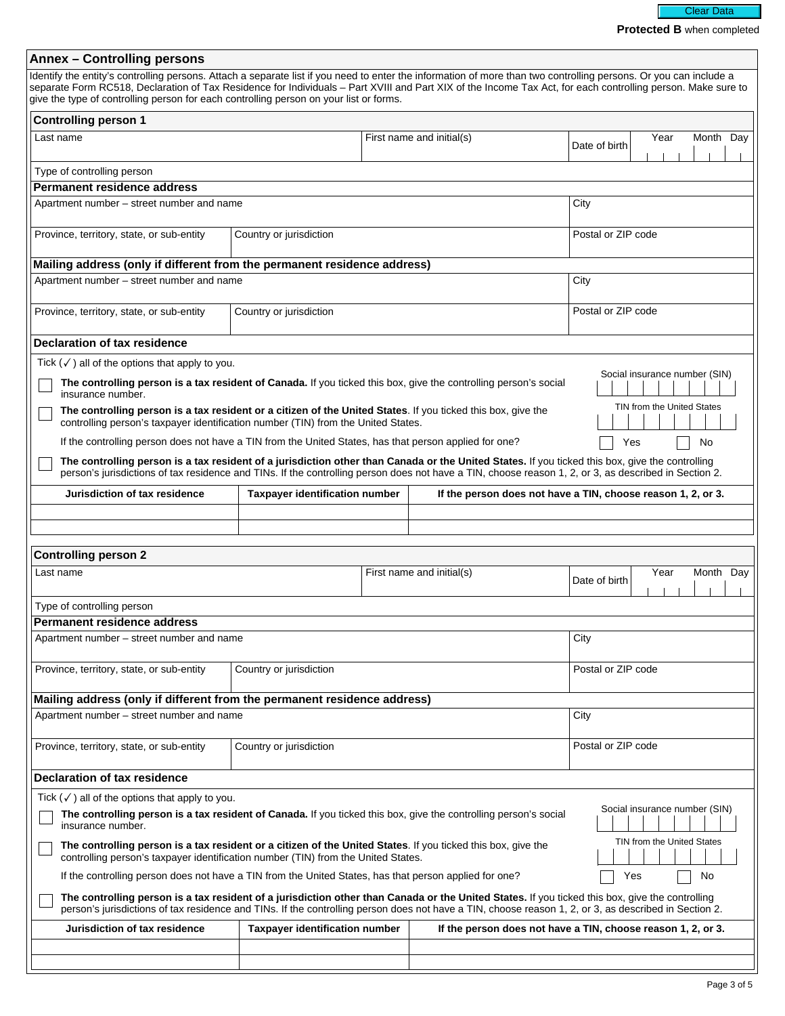

# **Protected B** when completed

Г

| <b>Annex - Controlling persons</b>                                                                                                                                                                                                                                                                                                                                                                                          |                                                                                                                                                   |                           |                                                              |  |  |  |
|-----------------------------------------------------------------------------------------------------------------------------------------------------------------------------------------------------------------------------------------------------------------------------------------------------------------------------------------------------------------------------------------------------------------------------|---------------------------------------------------------------------------------------------------------------------------------------------------|---------------------------|--------------------------------------------------------------|--|--|--|
| Identify the entity's controlling persons. Attach a separate list if you need to enter the information of more than two controlling persons. Or you can include a<br>separate Form RC518, Declaration of Tax Residence for Individuals - Part XVIII and Part XIX of the Income Tax Act, for each controlling person. Make sure to<br>give the type of controlling person for each controlling person on your list or forms. |                                                                                                                                                   |                           |                                                              |  |  |  |
| <b>Controlling person 1</b>                                                                                                                                                                                                                                                                                                                                                                                                 |                                                                                                                                                   |                           |                                                              |  |  |  |
| Last name                                                                                                                                                                                                                                                                                                                                                                                                                   |                                                                                                                                                   | First name and initial(s) | Year<br>Month Day<br>Date of birth                           |  |  |  |
| $\vert \blacktriangledown \vert$<br>Type of controlling person                                                                                                                                                                                                                                                                                                                                                              |                                                                                                                                                   |                           |                                                              |  |  |  |
| Permanent residence address                                                                                                                                                                                                                                                                                                                                                                                                 |                                                                                                                                                   |                           |                                                              |  |  |  |
| Apartment number – street number and name                                                                                                                                                                                                                                                                                                                                                                                   |                                                                                                                                                   | City                      |                                                              |  |  |  |
| Province, territory, state, or sub-entity<br>$\overline{\phantom{a}}$                                                                                                                                                                                                                                                                                                                                                       | Country or jurisdiction                                                                                                                           | $\blacktriangledown$      | Postal or ZIP code                                           |  |  |  |
| Mailing address (only if different from the permanent residence address)                                                                                                                                                                                                                                                                                                                                                    |                                                                                                                                                   |                           |                                                              |  |  |  |
| Apartment number - street number and name                                                                                                                                                                                                                                                                                                                                                                                   |                                                                                                                                                   |                           | City                                                         |  |  |  |
| Province, territory, state, or sub-entity<br>$\blacktriangleright$                                                                                                                                                                                                                                                                                                                                                          | Country or jurisdiction                                                                                                                           | $\blacktriangleright$     | Postal or ZIP code                                           |  |  |  |
| <b>Declaration of tax residence</b>                                                                                                                                                                                                                                                                                                                                                                                         |                                                                                                                                                   |                           |                                                              |  |  |  |
| Tick $(\checkmark)$ all of the options that apply to you.                                                                                                                                                                                                                                                                                                                                                                   |                                                                                                                                                   |                           |                                                              |  |  |  |
| insurance number.                                                                                                                                                                                                                                                                                                                                                                                                           | Social insurance number (SIN)<br>The controlling person is a tax resident of Canada. If you ticked this box, give the controlling person's social |                           |                                                              |  |  |  |
| The controlling person is a tax resident or a citizen of the United States. If you ticked this box, give the<br>controlling person's taxpayer identification number (TIN) from the United States.                                                                                                                                                                                                                           |                                                                                                                                                   |                           | TIN from the United States                                   |  |  |  |
| If the controlling person does not have a TIN from the United States, has that person applied for one?                                                                                                                                                                                                                                                                                                                      |                                                                                                                                                   |                           | Yes<br>No                                                    |  |  |  |
| The controlling person is a tax resident of a jurisdiction other than Canada or the United States. If you ticked this box, give the controlling<br>person's jurisdictions of tax residence and TINs. If the controlling person does not have a TIN, choose reason 1, 2, or 3, as described in Section 2.                                                                                                                    |                                                                                                                                                   |                           |                                                              |  |  |  |
| Jurisdiction of tax residence                                                                                                                                                                                                                                                                                                                                                                                               | <b>Taxpayer identification number</b>                                                                                                             |                           | If the person does not have a TIN, choose reason 1, 2, or 3. |  |  |  |
| $\blacktriangledown$                                                                                                                                                                                                                                                                                                                                                                                                        |                                                                                                                                                   |                           | $\blacksquare$                                               |  |  |  |
|                                                                                                                                                                                                                                                                                                                                                                                                                             |                                                                                                                                                   |                           |                                                              |  |  |  |
| $\blacktriangledown$                                                                                                                                                                                                                                                                                                                                                                                                        |                                                                                                                                                   |                           | $\overline{\phantom{0}}$                                     |  |  |  |
| <b>Controlling person 2</b>                                                                                                                                                                                                                                                                                                                                                                                                 |                                                                                                                                                   |                           |                                                              |  |  |  |
| Last name                                                                                                                                                                                                                                                                                                                                                                                                                   |                                                                                                                                                   | First name and initial(s) | Year<br>Month Day<br>Date of birth                           |  |  |  |
| Type of controlling person                                                                                                                                                                                                                                                                                                                                                                                                  |                                                                                                                                                   |                           | $\blacktriangledown$                                         |  |  |  |
| Permanent residence address                                                                                                                                                                                                                                                                                                                                                                                                 |                                                                                                                                                   |                           |                                                              |  |  |  |
| Apartment number – street number and name                                                                                                                                                                                                                                                                                                                                                                                   |                                                                                                                                                   |                           | City                                                         |  |  |  |
| Province, territory, state, or sub-entity<br>$\blacktriangledown$                                                                                                                                                                                                                                                                                                                                                           | Country or jurisdiction                                                                                                                           | $\blacktriangleright$     | Postal or ZIP code                                           |  |  |  |
| Mailing address (only if different from the permanent residence address)                                                                                                                                                                                                                                                                                                                                                    |                                                                                                                                                   |                           |                                                              |  |  |  |
| Apartment number - street number and name                                                                                                                                                                                                                                                                                                                                                                                   |                                                                                                                                                   |                           | City                                                         |  |  |  |
| Province, territory, state, or sub-entity<br>$\blacktriangleright$                                                                                                                                                                                                                                                                                                                                                          | Country or jurisdiction                                                                                                                           | $\blacktriangleright$     | Postal or ZIP code                                           |  |  |  |
| <b>Declaration of tax residence</b>                                                                                                                                                                                                                                                                                                                                                                                         |                                                                                                                                                   |                           |                                                              |  |  |  |
| Tick $(\checkmark)$ all of the options that apply to you.                                                                                                                                                                                                                                                                                                                                                                   |                                                                                                                                                   |                           |                                                              |  |  |  |
| The controlling person is a tax resident of Canada. If you ticked this box, give the controlling person's social<br>insurance number.                                                                                                                                                                                                                                                                                       |                                                                                                                                                   |                           | Social insurance number (SIN)                                |  |  |  |
| The controlling person is a tax resident or a citizen of the United States. If you ticked this box, give the<br>controlling person's taxpayer identification number (TIN) from the United States.                                                                                                                                                                                                                           |                                                                                                                                                   |                           | TIN from the United States                                   |  |  |  |
| If the controlling person does not have a TIN from the United States, has that person applied for one?                                                                                                                                                                                                                                                                                                                      |                                                                                                                                                   |                           | Yes<br>No                                                    |  |  |  |
| The controlling person is a tax resident of a jurisdiction other than Canada or the United States. If you ticked this box, give the controlling<br>person's jurisdictions of tax residence and TINs. If the controlling person does not have a TIN, choose reason 1, 2, or 3, as described in Section 2.                                                                                                                    |                                                                                                                                                   |                           |                                                              |  |  |  |
| Jurisdiction of tax residence                                                                                                                                                                                                                                                                                                                                                                                               | <b>Taxpayer identification number</b>                                                                                                             |                           | If the person does not have a TIN, choose reason 1, 2, or 3. |  |  |  |
| $\blacktriangledown$<br>$\blacktriangleright$                                                                                                                                                                                                                                                                                                                                                                               |                                                                                                                                                   |                           | I<br>$\overline{\phantom{0}}$                                |  |  |  |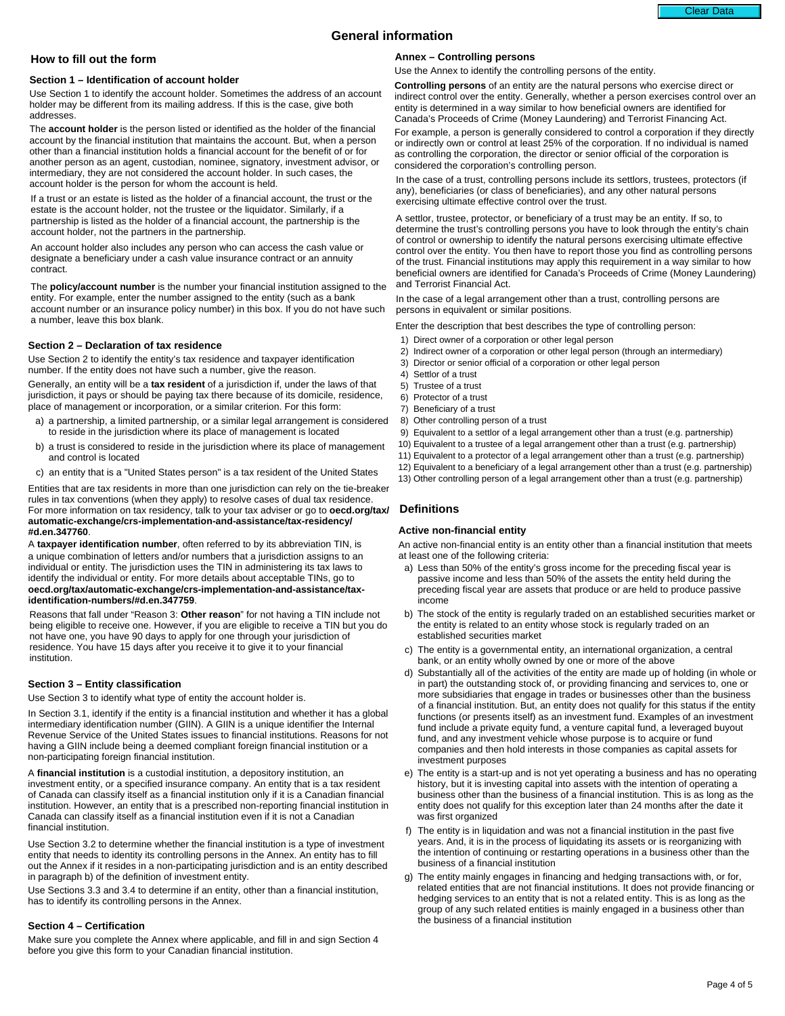# **General information**

### **How to fill out the form**

#### **Section 1 – Identification of account holder**

Use Section 1 to identify the account holder. Sometimes the address of an account holder may be different from its mailing address. If this is the case, give both addresses.

The **account holder** is the person listed or identified as the holder of the financial account by the financial institution that maintains the account. But, when a person other than a financial institution holds a financial account for the benefit of or for another person as an agent, custodian, nominee, signatory, investment advisor, or intermediary, they are not considered the account holder. In such cases, the account holder is the person for whom the account is held.

If a trust or an estate is listed as the holder of a financial account, the trust or the estate is the account holder, not the trustee or the liquidator. Similarly, if a partnership is listed as the holder of a financial account, the partnership is the account holder, not the partners in the partnership.

An account holder also includes any person who can access the cash value or designate a beneficiary under a cash value insurance contract or an annuity contract.

The **policy/account number** is the number your financial institution assigned to the entity. For example, enter the number assigned to the entity (such as a bank account number or an insurance policy number) in this box. If you do not have such a number, leave this box blank.

#### **Section 2 – Declaration of tax residence**

Use Section 2 to identify the entity's tax residence and taxpayer identification number. If the entity does not have such a number, give the reason.

Generally, an entity will be a **tax resident** of a jurisdiction if, under the laws of that jurisdiction, it pays or should be paying tax there because of its domicile, residence, place of management or incorporation, or a similar criterion. For this form:

- a) a partnership, a limited partnership, or a similar legal arrangement is considered to reside in the jurisdiction where its place of management is located
- b) a trust is considered to reside in the jurisdiction where its place of management and control is located
- c) an entity that is a "United States person" is a tax resident of the United States

Entities that are tax residents in more than one jurisdiction can rely on the tie-breaker rules in tax conventions (when they apply) to resolve cases of dual tax residence. For more information on tax residency, talk to your tax adviser or go to **oecd.org/tax/ automatic-exchange/crs-implementation-and-assistance/tax-residency/ #d.en.347760**.

A **taxpayer identification number**, often referred to by its abbreviation TIN, is a unique combination of letters and/or numbers that a jurisdiction assigns to an individual or entity. The jurisdiction uses the TIN in administering its tax laws to identify the individual or entity. For more details about acceptable TINs, go to **oecd.org/tax/automatic-exchange/crs-implementation-and-assistance/taxidentification-numbers/#d.en.347759**.

Reasons that fall under "Reason 3: **Other reason**" for not having a TIN include not being eligible to receive one. However, if you are eligible to receive a TIN but you do not have one, you have 90 days to apply for one through your jurisdiction of residence. You have 15 days after you receive it to give it to your financial institution.

#### **Section 3 – Entity classification**

Use Section 3 to identify what type of entity the account holder is.

In Section 3.1, identify if the entity is a financial institution and whether it has a global intermediary identification number (GIIN). A GIIN is a unique identifier the Internal Revenue Service of the United States issues to financial institutions. Reasons for not having a GIIN include being a deemed compliant foreign financial institution or a non-participating foreign financial institution.

A **financial institution** is a custodial institution, a depository institution, an investment entity, or a specified insurance company. An entity that is a tax resident of Canada can classify itself as a financial institution only if it is a Canadian financial institution. However, an entity that is a prescribed non-reporting financial institution in Canada can classify itself as a financial institution even if it is not a Canadian financial institution.

Use Section 3.2 to determine whether the financial institution is a type of investment entity that needs to identity its controlling persons in the Annex. An entity has to fill out the Annex if it resides in a non-participating jurisdiction and is an entity described in paragraph b) of the definition of investment entity.

Use Sections 3.3 and 3.4 to determine if an entity, other than a financial institution, has to identify its controlling persons in the Annex.

#### **Section 4 – Certification**

Make sure you complete the Annex where applicable, and fill in and sign Section 4 before you give this form to your Canadian financial institution.

### **Annex – Controlling persons**

Use the Annex to identify the controlling persons of the entity.

**Controlling persons** of an entity are the natural persons who exercise direct or indirect control over the entity. Generally, whether a person exercises control over an entity is determined in a way similar to how beneficial owners are identified for Canada's Proceeds of Crime (Money Laundering) and Terrorist Financing Act.

For example, a person is generally considered to control a corporation if they directly or indirectly own or control at least 25% of the corporation. If no individual is named as controlling the corporation, the director or senior official of the corporation is considered the corporation's controlling person.

In the case of a trust, controlling persons include its settlors, trustees, protectors (if any), beneficiaries (or class of beneficiaries), and any other natural persons exercising ultimate effective control over the trust.

A settlor, trustee, protector, or beneficiary of a trust may be an entity. If so, to determine the trust's controlling persons you have to look through the entity's chain of control or ownership to identify the natural persons exercising ultimate effective control over the entity. You then have to report those you find as controlling persons of the trust. Financial institutions may apply this requirement in a way similar to how beneficial owners are identified for Canada's Proceeds of Crime (Money Laundering) and Terrorist Financial Act.

In the case of a legal arrangement other than a trust, controlling persons are persons in equivalent or similar positions.

Enter the description that best describes the type of controlling person:

- 1) Direct owner of a corporation or other legal person
- 2) Indirect owner of a corporation or other legal person (through an intermediary)
- 3) Director or senior official of a corporation or other legal person
- 4) Settlor of a trust
- 5) Trustee of a trust
- 6) Protector of a trust
- 7) Beneficiary of a trust
- 8) Other controlling person of a trust
- 9) Equivalent to a settlor of a legal arrangement other than a trust (e.g. partnership)
- 10) Equivalent to a trustee of a legal arrangement other than a trust (e.g. partnership)
- 11) Equivalent to a protector of a legal arrangement other than a trust (e.g. partnership)
- 12) Equivalent to a beneficiary of a legal arrangement other than a trust (e.g. partnership)
- 13) Other controlling person of a legal arrangement other than a trust (e.g. partnership)

# **Definitions**

## **Active non-financial entity**

An active non-financial entity is an entity other than a financial institution that meets at least one of the following criteria:

- a) Less than 50% of the entity's gross income for the preceding fiscal year is passive income and less than 50% of the assets the entity held during the preceding fiscal year are assets that produce or are held to produce passive income
- b) The stock of the entity is regularly traded on an established securities market or the entity is related to an entity whose stock is regularly traded on an established securities market
- c) The entity is a governmental entity, an international organization, a central bank, or an entity wholly owned by one or more of the above
- Substantially all of the activities of the entity are made up of holding (in whole or in part) the outstanding stock of, or providing financing and services to, one or more subsidiaries that engage in trades or businesses other than the business of a financial institution. But, an entity does not qualify for this status if the entity functions (or presents itself) as an investment fund. Examples of an investment fund include a private equity fund, a venture capital fund, a leveraged buyout fund, and any investment vehicle whose purpose is to acquire or fund companies and then hold interests in those companies as capital assets for investment purposes
- e) The entity is a start-up and is not yet operating a business and has no operating history, but it is investing capital into assets with the intention of operating a business other than the business of a financial institution. This is as long as the entity does not qualify for this exception later than 24 months after the date it was first organized
- f) The entity is in liquidation and was not a financial institution in the past five years. And, it is in the process of liquidating its assets or is reorganizing with the intention of continuing or restarting operations in a business other than the business of a financial institution
- g) The entity mainly engages in financing and hedging transactions with, or for, related entities that are not financial institutions. It does not provide financing or hedging services to an entity that is not a related entity. This is as long as the group of any such related entities is mainly engaged in a business other than the business of a financial institution